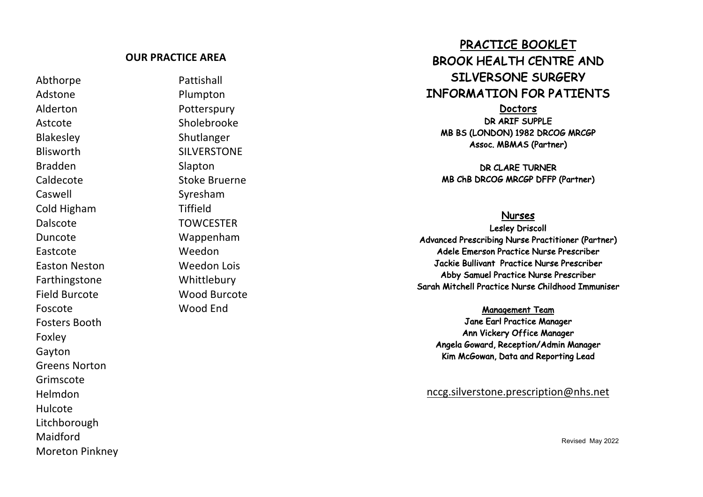#### **OUR PRACTICE AREA**

Abthorpe Pattishall Adstone Plumpton Alderton Potterspury Astcote Sholebrooke Blakesley Shutlanger Blisworth SILVERSTONE Bradden Slapton Caswell Syresham Cold Higham Tiffield Dalscote TOWCESTER Duncote Wappenham Eastcote Weedon Easton Neston Weedon Lois **Farthingstone** Foscote Wood End Fosters Booth Foxley Gayton Greens Norton Grimscote Helmdon Hulcote Litchborough Maidford Moreton Pinkney

Caldecote Stoke Bruerne Whittlebury Field Burcote Wood Burcote

# PRACTICE BOOKLET BROOK HEALTH CENTRE AND SILVERSONE SURGERY INFORMATION FOR PATIENTS

**Doctors** DR ARIF SUPPLE MB BS (LONDON) 1982 DRCOG MRCGP Assoc. MBMAS (Partner)

DR CLARE TURNER MB ChB DRCOG MRCGP DFFP (Partner)

### Nurses

Lesley Driscoll Advanced Prescribing Nurse Practitioner (Partner) Adele Emerson Practice Nurse Prescriber Jackie Bull ivant Practice Nurse Prescriber Abby Samuel Practice Nurse Prescriber Sarah Mitchell Practice Nurse Childhood Immuniser

Management Team

Jane Earl Practice Manager Ann Vickery Office Manager Angela Goward, Reception/Admin Manager Kim McGowan, Data and Reporting Lead

nccg.silverstone.prescription@nhs.net

Revised May 202 2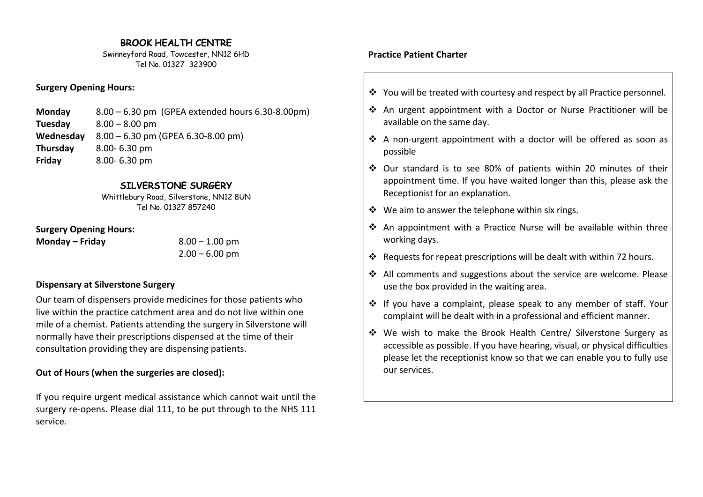# BROOK HEALTH CENTRE

Swinneyford Road, Towcester, NN12 6HD Tel No. 01327 323900

#### **Surgery Opening Hours:**

| <b>Monday</b> | $8.00 - 6.30$ pm (GPEA extended hours 6.30-8.00pm) |
|---------------|----------------------------------------------------|
| Tuesday       | $8.00 - 8.00$ pm                                   |
| Wednesday     | $8.00 - 6.30$ pm (GPEA 6.30-8.00 pm)               |
| Thursday      | $8.00 - 6.30$ pm                                   |
| Friday        | $8.00 - 6.30$ pm                                   |

#### SILVERSTONE SURGERY

Whittlebury Road, Silverstone, NN12 8UN Tel No. 01327 857240

**Surgery Opening Hours:**

**Monday – Friday** 8.00 – 1.00 pm

 $2.00 - 6.00$  pm

#### **Dispensary at Silverstone Surgery**

Our team of dispensers provide medicines for those patients who live within the practice catchment area and do not live within one mile of a chemist. Patients attending the surgery in Silverstone will normally have their prescriptions dispensed at the time of their consultation providing they are dispensing patients.

# **Out of Hours (when the surgeries are closed):**

If you require urgent medical assistance which cannot wait until the surgery re-opens. Please dial 111, to be put through to the NHS 111 service.

# **Practice Patient Charter**

- v You will be treated with courtesy and respect by all Practice personnel.
- v An urgent appointment with a Doctor or Nurse Practitioner will be available on the same day.
- $\triangle$  A non-urgent appointment with a doctor will be offered as soon as possible
- v Our standard is to see 80% of patients within 20 minutes of their appointment time. If you have waited longer than this, please ask the Receptionist for an explanation.
- $\div$  We aim to answer the telephone within six rings.
- $\triangle$  An appointment with a Practice Nurse will be available within three working days.
- $\cdot$  Requests for repeat prescriptions will be dealt with within 72 hours.
- v All comments and suggestions about the service are welcome. Please use the box provided in the waiting area.
- \* If you have a complaint, please speak to any member of staff. Your complaint will be dealt with in a professional and efficient manner.
- v We wish to make the Brook Health Centre/ Silverstone Surgery as accessible as possible. If you have hearing, visual, or physical difficulties please let the receptionist know so that we can enable you to fully use our services.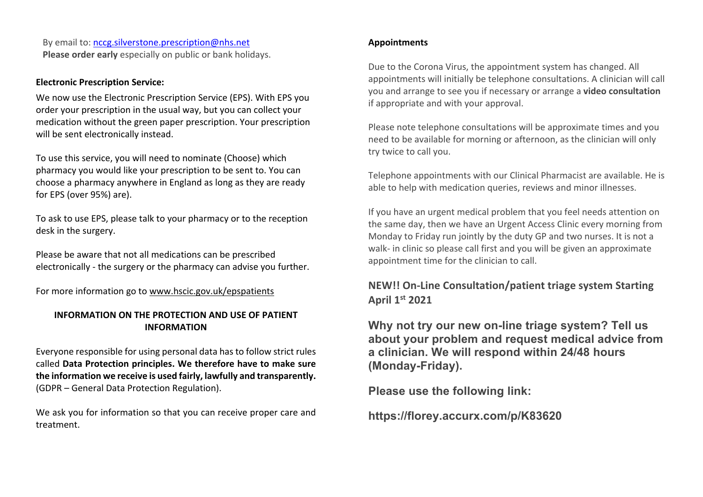By email to: nccg.silverstone.prescription@nhs.net **Please order early** especially on public or bank holidays.

#### **Electronic Prescription Service:**

We now use the Electronic Prescription Service (EPS). With EPS you order your prescription in the usual way, but you can collect your medication without the green paper prescription. Your prescription will be sent electronically instead.

To use this service, you will need to nominate (Choose) which pharmacy you would like your prescription to be sent to. You can choose a pharmacy anywhere in England as long as they are ready for EPS (over 95%) are).

To ask to use EPS, please talk to your pharmacy or to the reception desk in the surgery.

Please be aware that not all medications can be prescribed electronically - the surgery or the pharmacy can advise you further.

For more information go to www.hscic.gov.uk/epspatients

## **INFORMATION ON THE PROTECTION AND USE OF PATIENT INFORMATION**

Everyone responsible for using personal data has to follow strict rules called **Data Protection principles. We therefore have to make sure the information we receive is used fairly, lawfully and transparently.**  (GDPR – General Data Protection Regulation).

We ask you for information so that you can receive proper care and treatment.

#### **Appointments**

Due to the Corona Virus, the appointment system has changed. All appointments will initially be telephone consultations. A clinician will call you and arrange to see you if necessary or arrange a **video consultation** if appropriate and with your approval.

Please note telephone consultations will be approximate times and you need to be available for morning or afternoon, as the clinician will only try twice to call you.

Telephone appointments with our Clinical Pharmacist are available. He is able to help with medication queries, reviews and minor illnesses.

If you have an urgent medical problem that you feel needs attention on the same day, then we have an Urgent Access Clinic every morning from Monday to Friday run jointly by the duty GP and two nurses. It is not a walk- in clinic so please call first and you will be given an approximate appointment time for the clinician to call.

# **NEW!! On-Line Consultation/patient triage system Starting April 1st 2021**

**Why not try our new on-line triage system? Tell us about your problem and request medical advice from a clinician. We will respond within 24/48 hours (Monday-Friday).**

**Please use the following link:** 

**https://florey.accurx.com/p/K83620**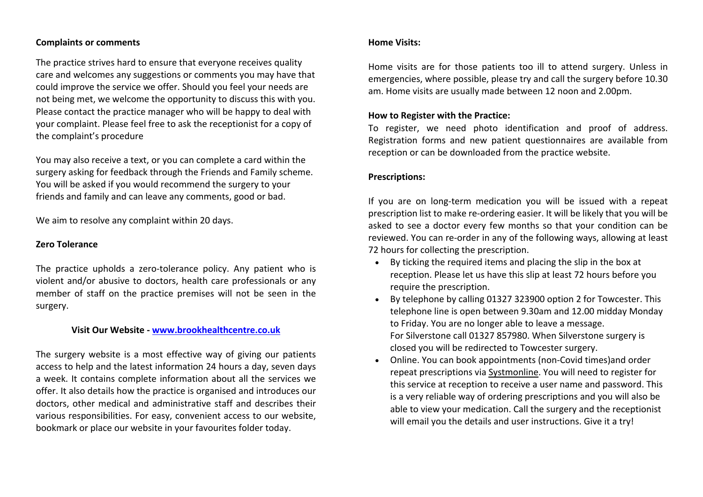#### **Complaints or comments**

The practice strives hard to ensure that everyone receives quality care and welcomes any suggestions or comments you may have that could improve the service we offer. Should you feel your needs are not being met, we welcome the opportunity to discuss this with you. Please contact the practice manager who will be happy to deal with your complaint. Please feel free to ask the receptionist for a copy of the complaint's procedure

You may also receive a text, or you can complete a card within the surgery asking for feedback through the Friends and Family scheme. You will be asked if you would recommend the surgery to your friends and family and can leave any comments, good or bad.

We aim to resolve any complaint within 20 days.

#### **Zero Tolerance**

The practice upholds a zero-tolerance policy. Any patient who is violent and/or abusive to doctors, health care professionals or any member of staff on the practice premises will not be seen in the surgery.

#### **Visit Our Website - www.brookhealthcentre.co.uk**

The surgery website is a most effective way of giving our patients access to help and the latest information 24 hours a day, seven days a week. It contains complete information about all the services we offer. It also details how the practice is organised and introduces our doctors, other medical and administrative staff and describes their various responsibilities. For easy, convenient access to our website, bookmark or place our website in your favourites folder today.

#### **Home Visits:**

Home visits are for those patients too ill to attend surgery. Unless in emergencies, where possible, please try and call the surgery before 10.30 am. Home visits are usually made between 12 noon and 2.00pm.

#### **How to Register with the Practice:**

To register, we need photo identification and proof of address. Registration forms and new patient questionnaires are available from reception or can be downloaded from the practice website.

#### **Prescriptions:**

If you are on long-term medication you will be issued with a repeat prescription list to make re-ordering easier. It will be likely that you will be asked to see a doctor every few months so that your condition can be reviewed. You can re-order in any of the following ways, allowing at least 72 hours for collecting the prescription.

- By ticking the required items and placing the slip in the box at reception. Please let us have this slip at least 72 hours before you require the prescription.
- By telephone by calling 01327 323900 option 2 for Towcester. This telephone line is open between 9.30am and 12.00 midday Monday to Friday. You are no longer able to leave a message. For Silverstone call 01327 857980. When Silverstone surgery is closed you will be redirected to Towcester surgery.
- Online. You can book appointments (non-Covid times)and order repeat prescriptions via Systmonline. You will need to register for this service at reception to receive a user name and password. This is a very reliable way of ordering prescriptions and you will also be able to view your medication. Call the surgery and the receptionist will email you the details and user instructions. Give it a try!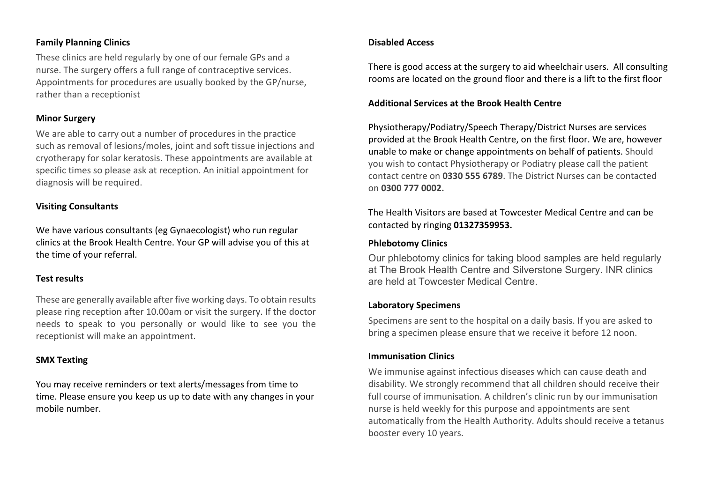#### **Family Planning Clinics**

These clinics are held regularly by one of our female GPs and a nurse. The surgery offers a full range of contraceptive services. Appointments for procedures are usually booked by the GP/nurse, rather than a receptionist

#### **Minor Surgery**

We are able to carry out a number of procedures in the practice such as removal of lesions/moles, joint and soft tissue injections and cryotherapy for solar keratosis. These appointments are available at specific times so please ask at reception. An initial appointment for diagnosis will be required.

#### **Visiting Consultants**

We have various consultants (eg Gynaecologist) who run regular clinics at the Brook Health Centre. Your GP will advise you of this at the time of your referral.

#### **Test results**

These are generally available after five working days. To obtain results please ring reception after 10.00am or visit the surgery. If the doctor needs to speak to you personally or would like to see you the receptionist will make an appointment.

#### **SMX Texting**

You may receive reminders or text alerts/messages from time to time. Please ensure you keep us up to date with any changes in your mobile number.

#### **Disabled Access**

There is good access at the surgery to aid wheelchair users. All consulting rooms are located on the ground floor and there is a lift to the first floor

#### **Additional Services at the Brook Health Centre**

Physiotherapy/Podiatry/Speech Therapy/District Nurses are services provided at the Brook Health Centre, on the first floor. We are, however unable to make or change appointments on behalf of patients. Should you wish to contact Physiotherapy or Podiatry please call the patient contact centre on **0330 555 6789**. The District Nurses can be contacted on **0300 777 0002.**

The Health Visitors are based at Towcester Medical Centre and can be contacted by ringing **01327359953.**

#### **Phlebotomy Clinics**

Our phlebotomy clinics for taking blood samples are held regularly at The Brook Health Centre and Silverstone Surgery. INR clinics are held at Towcester Medical Centre.

#### **Laboratory Specimens**

Specimens are sent to the hospital on a daily basis. If you are asked to bring a specimen please ensure that we receive it before 12 noon.

#### **Immunisation Clinics**

We immunise against infectious diseases which can cause death and disability. We strongly recommend that all children should receive their full course of immunisation. A children's clinic run by our immunisation nurse is held weekly for this purpose and appointments are sent automatically from the Health Authority. Adults should receive a tetanus booster every 10 years.